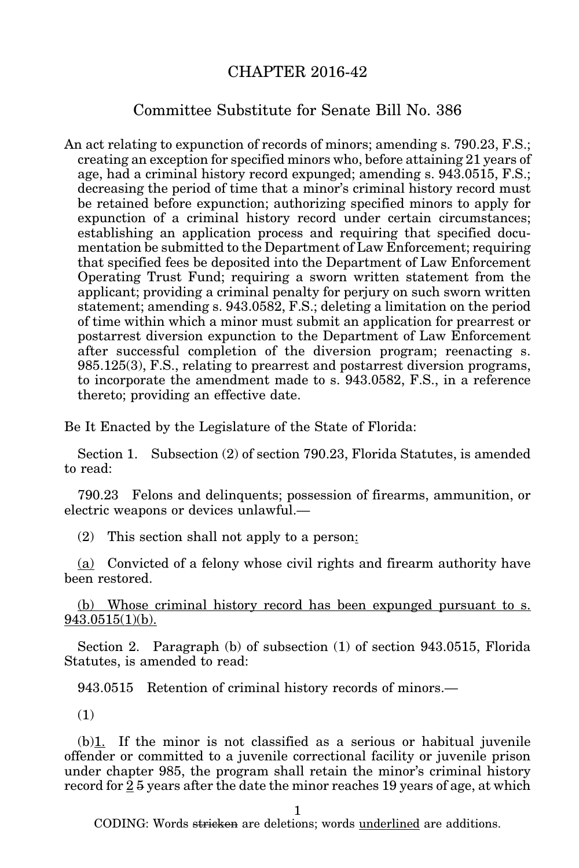## CHAPTER 2016-42

## Committee Substitute for Senate Bill No. 386

An act relating to expunction of records of minors; amending s. 790.23, F.S.; creating an exception for specified minors who, before attaining 21 years of age, had a criminal history record expunged; amending s. 943.0515, F.S.; decreasing the period of time that a minor's criminal history record must be retained before expunction; authorizing specified minors to apply for expunction of a criminal history record under certain circumstances; establishing an application process and requiring that specified documentation be submitted to the Department of Law Enforcement; requiring that specified fees be deposited into the Department of Law Enforcement Operating Trust Fund; requiring a sworn written statement from the applicant; providing a criminal penalty for perjury on such sworn written statement; amending s. 943.0582, F.S.; deleting a limitation on the period of time within which a minor must submit an application for prearrest or postarrest diversion expunction to the Department of Law Enforcement after successful completion of the diversion program; reenacting s. 985.125(3), F.S., relating to prearrest and postarrest diversion programs, to incorporate the amendment made to s. 943.0582, F.S., in a reference thereto; providing an effective date.

Be It Enacted by the Legislature of the State of Florida:

Section 1. Subsection (2) of section 790.23, Florida Statutes, is amended to read:

790.23 Felons and delinquents; possession of firearms, ammunition, or electric weapons or devices unlawful.—

(2) This section shall not apply to a person:

(a) Convicted of a felony whose civil rights and firearm authority have been restored.

(b) Whose criminal history record has been expunged pursuant to s. 943.0515(1)(b).

Section 2. Paragraph (b) of subsection (1) of section 943.0515, Florida Statutes, is amended to read:

943.0515 Retention of criminal history records of minors.—

(1)

 $(b)$ 1. If the minor is not classified as a serious or habitual juvenile offender or committed to a juvenile correctional facility or juvenile prison under chapter 985, the program shall retain the minor's criminal history record for  $25$  years after the date the minor reaches 19 years of age, at which

1

CODING: Words stricken are deletions; words underlined are additions.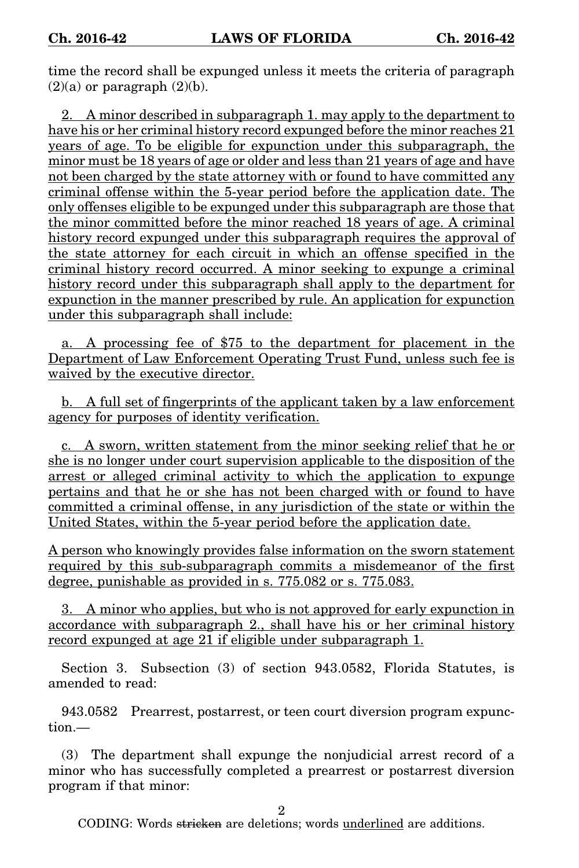time the record shall be expunged unless it meets the criteria of paragraph  $(2)(a)$  or paragraph  $(2)(b)$ .

2. A minor described in subparagraph 1. may apply to the department to have his or her criminal history record expunged before the minor reaches 21 years of age. To be eligible for expunction under this subparagraph, the minor must be 18 years of age or older and less than 21 years of age and have not been charged by the state attorney with or found to have committed any criminal offense within the 5-year period before the application date. The only offenses eligible to be expunged under this subparagraph are those that the minor committed before the minor reached 18 years of age. A criminal history record expunged under this subparagraph requires the approval of the state attorney for each circuit in which an offense specified in the criminal history record occurred. A minor seeking to expunge a criminal history record under this subparagraph shall apply to the department for expunction in the manner prescribed by rule. An application for expunction under this subparagraph shall include:

a. A processing fee of \$75 to the department for placement in the Department of Law Enforcement Operating Trust Fund, unless such fee is waived by the executive director.

b. A full set of fingerprints of the applicant taken by a law enforcement agency for purposes of identity verification.

c. A sworn, written statement from the minor seeking relief that he or she is no longer under court supervision applicable to the disposition of the arrest or alleged criminal activity to which the application to expunge pertains and that he or she has not been charged with or found to have committed a criminal offense, in any jurisdiction of the state or within the United States, within the 5-year period before the application date.

A person who knowingly provides false information on the sworn statement required by this sub-subparagraph commits a misdemeanor of the first degree, punishable as provided in s. 775.082 or s. 775.083.

3. A minor who applies, but who is not approved for early expunction in accordance with subparagraph 2., shall have his or her criminal history record expunged at age 21 if eligible under subparagraph 1.

Section 3. Subsection (3) of section 943.0582, Florida Statutes, is amended to read:

943.0582 Prearrest, postarrest, or teen court diversion program expunction.—

(3) The department shall expunge the nonjudicial arrest record of a minor who has successfully completed a prearrest or postarrest diversion program if that minor:

 $\mathfrak{D}$ 

CODING: Words stricken are deletions; words underlined are additions.